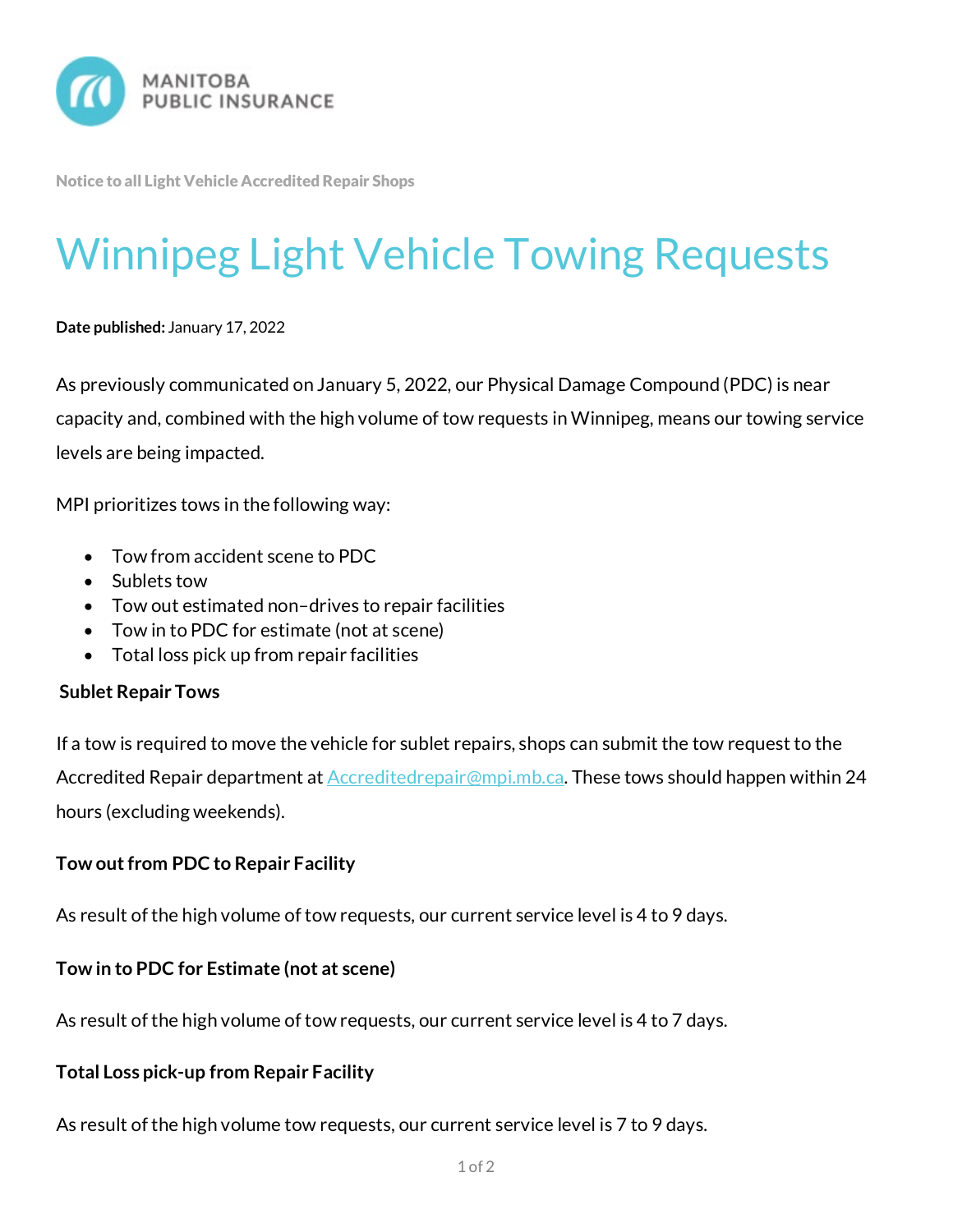

Notice to all Light Vehicle Accredited Repair Shops

# Winnipeg Light Vehicle Towing Requests

**Date published:** January 17, 2022

As previously communicated on January 5, 2022, our Physical Damage Compound (PDC) is near capacity and, combined with the high volume of tow requests in Winnipeg, means our towing service levels are being impacted.

MPI prioritizes tows in the following way:

- Tow from accident scene to PDC
- Sublets tow
- Tow out estimated non–drives to repair facilities
- Tow in to PDC for estimate (not at scene)
- Total loss pick up from repair facilities

### **Sublet Repair Tows**

If a tow is required to move the vehicle for sublet repairs, shops can submit the tow request to the Accredited Repair department at **Accreditedrepair@mpi.mb.ca.** These tows should happen within 24 hours (excluding weekends).

# **Tow out from PDC to Repair Facility**

As result of the high volume of tow requests, our current service level is 4 to 9 days.

# **Tow in to PDC for Estimate (not at scene)**

As result of the high volume of tow requests, our current service level is 4 to 7 days.

### **Total Loss pick-up from Repair Facility**

As result of the high volume tow requests, our current service level is 7 to 9 days.